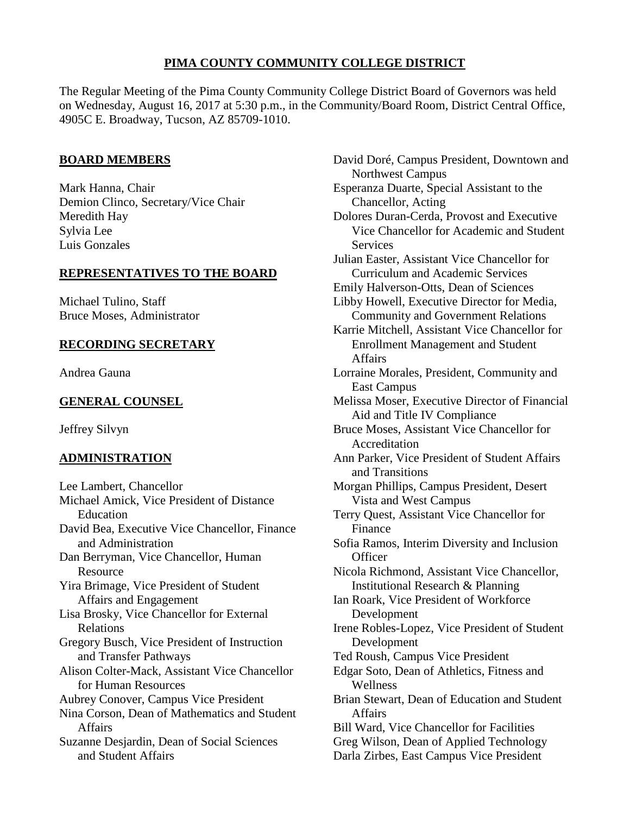# **PIMA COUNTY COMMUNITY COLLEGE DISTRICT**

The Regular Meeting of the Pima County Community College District Board of Governors was held on Wednesday, August 16, 2017 at 5:30 p.m., in the Community/Board Room, District Central Office, 4905C E. Broadway, Tucson, AZ 85709-1010.

### **BOARD MEMBERS**

Mark Hanna, Chair Demion Clinco, Secretary/Vice Chair Meredith Hay Sylvia Lee Luis Gonzales

## **REPRESENTATIVES TO THE BOARD**

Michael Tulino, Staff Bruce Moses, Administrator

# **RECORDING SECRETARY**

Andrea Gauna

# **GENERAL COUNSEL**

Jeffrey Silvyn

# **ADMINISTRATION**

Lee Lambert, Chancellor Michael Amick, Vice President of Distance Education David Bea, Executive Vice Chancellor, Finance and Administration Dan Berryman, Vice Chancellor, Human **Resource** Yira Brimage, Vice President of Student Affairs and Engagement Lisa Brosky, Vice Chancellor for External Relations Gregory Busch, Vice President of Instruction and Transfer Pathways Alison Colter-Mack, Assistant Vice Chancellor for Human Resources Aubrey Conover, Campus Vice President Nina Corson, Dean of Mathematics and Student Affairs Suzanne Desjardin, Dean of Social Sciences and Student Affairs

David Doré, Campus President, Downtown and Northwest Campus Esperanza Duarte, Special Assistant to the Chancellor, Acting Dolores Duran-Cerda, Provost and Executive Vice Chancellor for Academic and Student **Services** Julian Easter, Assistant Vice Chancellor for Curriculum and Academic Services Emily Halverson-Otts, Dean of Sciences Libby Howell, Executive Director for Media, Community and Government Relations Karrie Mitchell, Assistant Vice Chancellor for Enrollment Management and Student Affairs Lorraine Morales, President, Community and East Campus Melissa Moser, Executive Director of Financial Aid and Title IV Compliance Bruce Moses, Assistant Vice Chancellor for Accreditation Ann Parker, Vice President of Student Affairs and Transitions Morgan Phillips, Campus President, Desert Vista and West Campus Terry Quest, Assistant Vice Chancellor for Finance Sofia Ramos, Interim Diversity and Inclusion **Officer** Nicola Richmond, Assistant Vice Chancellor, Institutional Research & Planning Ian Roark, Vice President of Workforce Development Irene Robles-Lopez, Vice President of Student Development Ted Roush, Campus Vice President Edgar Soto, Dean of Athletics, Fitness and Wellness Brian Stewart, Dean of Education and Student Affairs Bill Ward, Vice Chancellor for Facilities Greg Wilson, Dean of Applied Technology Darla Zirbes, East Campus Vice President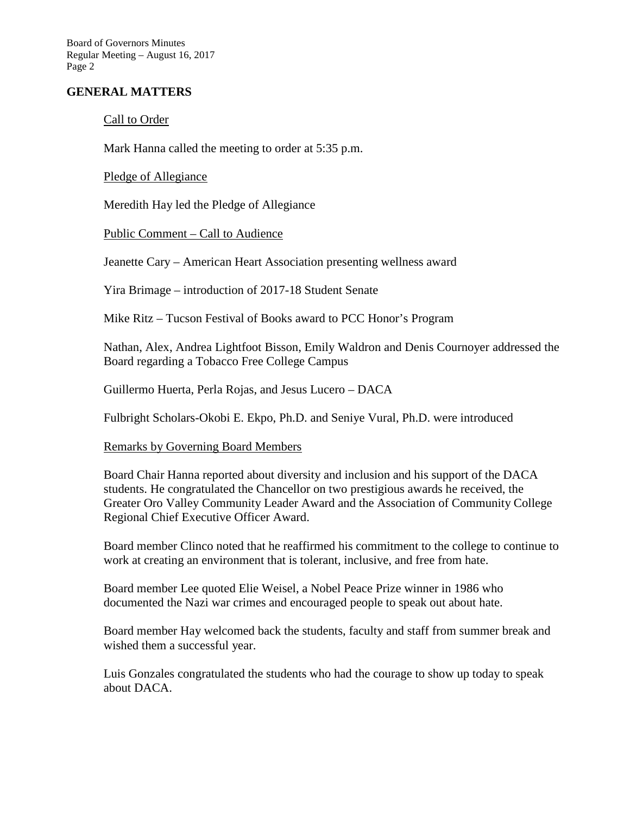Board of Governors Minutes Regular Meeting – August 16, 2017 Page 2

### **GENERAL MATTERS**

### Call to Order

Mark Hanna called the meeting to order at 5:35 p.m.

Pledge of Allegiance

Meredith Hay led the Pledge of Allegiance

Public Comment – Call to Audience

Jeanette Cary – American Heart Association presenting wellness award

Yira Brimage – introduction of 2017-18 Student Senate

Mike Ritz – Tucson Festival of Books award to PCC Honor's Program

Nathan, Alex, Andrea Lightfoot Bisson, Emily Waldron and Denis Cournoyer addressed the Board regarding a Tobacco Free College Campus

Guillermo Huerta, Perla Rojas, and Jesus Lucero – DACA

Fulbright Scholars-Okobi E. Ekpo, Ph.D. and Seniye Vural, Ph.D. were introduced

#### Remarks by Governing Board Members

Board Chair Hanna reported about diversity and inclusion and his support of the DACA students. He congratulated the Chancellor on two prestigious awards he received, the Greater Oro Valley Community Leader Award and the Association of Community College Regional Chief Executive Officer Award.

Board member Clinco noted that he reaffirmed his commitment to the college to continue to work at creating an environment that is tolerant, inclusive, and free from hate.

Board member Lee quoted Elie Weisel, a Nobel Peace Prize winner in 1986 who documented the Nazi war crimes and encouraged people to speak out about hate.

Board member Hay welcomed back the students, faculty and staff from summer break and wished them a successful year.

Luis Gonzales congratulated the students who had the courage to show up today to speak about DACA.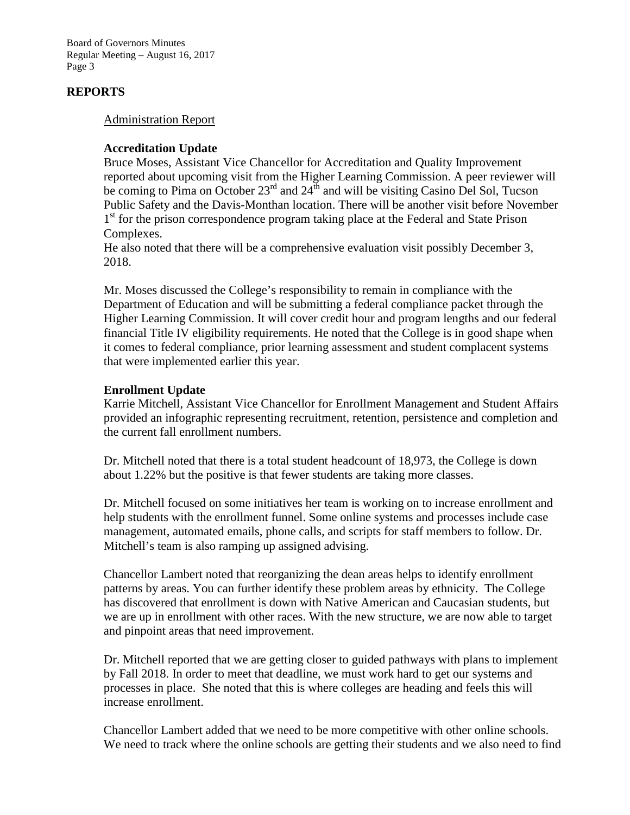Board of Governors Minutes Regular Meeting – August 16, 2017 Page 3

## **REPORTS**

#### Administration Report

### **Accreditation Update**

Bruce Moses, Assistant Vice Chancellor for Accreditation and Quality Improvement reported about upcoming visit from the Higher Learning Commission. A peer reviewer will be coming to Pima on October  $23^{\text{rd}}$  and  $24^{\text{th}}$  and will be visiting Casino Del Sol, Tucson Public Safety and the Davis-Monthan location. There will be another visit before November 1<sup>st</sup> for the prison correspondence program taking place at the Federal and State Prison Complexes.

He also noted that there will be a comprehensive evaluation visit possibly December 3, 2018.

Mr. Moses discussed the College's responsibility to remain in compliance with the Department of Education and will be submitting a federal compliance packet through the Higher Learning Commission. It will cover credit hour and program lengths and our federal financial Title IV eligibility requirements. He noted that the College is in good shape when it comes to federal compliance, prior learning assessment and student complacent systems that were implemented earlier this year.

### **Enrollment Update**

Karrie Mitchell, Assistant Vice Chancellor for Enrollment Management and Student Affairs provided an infographic representing recruitment, retention, persistence and completion and the current fall enrollment numbers.

Dr. Mitchell noted that there is a total student headcount of 18,973, the College is down about 1.22% but the positive is that fewer students are taking more classes.

Dr. Mitchell focused on some initiatives her team is working on to increase enrollment and help students with the enrollment funnel. Some online systems and processes include case management, automated emails, phone calls, and scripts for staff members to follow. Dr. Mitchell's team is also ramping up assigned advising.

Chancellor Lambert noted that reorganizing the dean areas helps to identify enrollment patterns by areas. You can further identify these problem areas by ethnicity. The College has discovered that enrollment is down with Native American and Caucasian students, but we are up in enrollment with other races. With the new structure, we are now able to target and pinpoint areas that need improvement.

Dr. Mitchell reported that we are getting closer to guided pathways with plans to implement by Fall 2018. In order to meet that deadline, we must work hard to get our systems and processes in place. She noted that this is where colleges are heading and feels this will increase enrollment.

Chancellor Lambert added that we need to be more competitive with other online schools. We need to track where the online schools are getting their students and we also need to find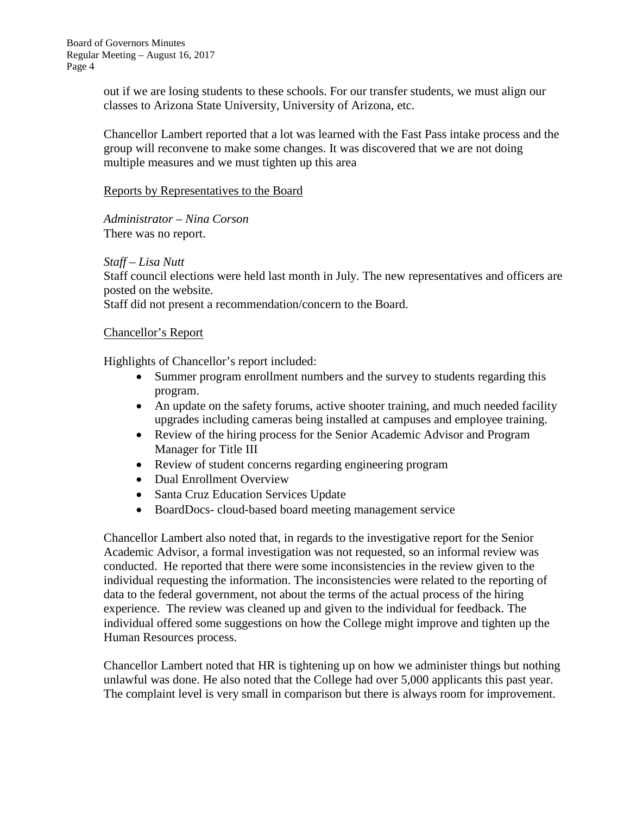out if we are losing students to these schools. For our transfer students, we must align our classes to Arizona State University, University of Arizona, etc.

Chancellor Lambert reported that a lot was learned with the Fast Pass intake process and the group will reconvene to make some changes. It was discovered that we are not doing multiple measures and we must tighten up this area

### Reports by Representatives to the Board

*Administrator – Nina Corson* There was no report.

## *Staff – Lisa Nutt*

Staff council elections were held last month in July. The new representatives and officers are posted on the website.

Staff did not present a recommendation/concern to the Board.

### Chancellor's Report

Highlights of Chancellor's report included:

- Summer program enrollment numbers and the survey to students regarding this program.
- An update on the safety forums, active shooter training, and much needed facility upgrades including cameras being installed at campuses and employee training.
- Review of the hiring process for the Senior Academic Advisor and Program Manager for Title III
- Review of student concerns regarding engineering program
- Dual Enrollment Overview
- Santa Cruz Education Services Update
- BoardDocs- cloud-based board meeting management service

Chancellor Lambert also noted that, in regards to the investigative report for the Senior Academic Advisor, a formal investigation was not requested, so an informal review was conducted. He reported that there were some inconsistencies in the review given to the individual requesting the information. The inconsistencies were related to the reporting of data to the federal government, not about the terms of the actual process of the hiring experience. The review was cleaned up and given to the individual for feedback. The individual offered some suggestions on how the College might improve and tighten up the Human Resources process.

Chancellor Lambert noted that HR is tightening up on how we administer things but nothing unlawful was done. He also noted that the College had over 5,000 applicants this past year. The complaint level is very small in comparison but there is always room for improvement.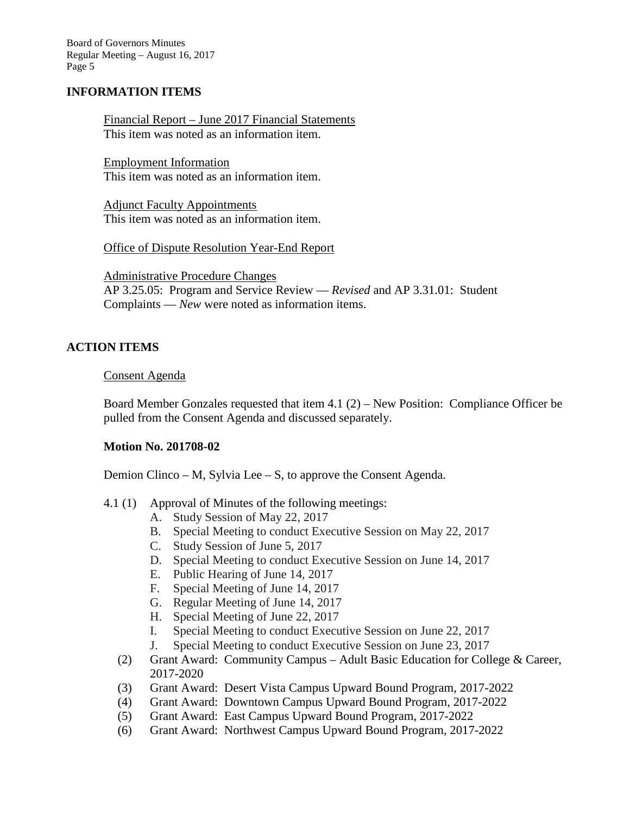Board of Governors Minutes Regular Meeting – August 16, 2017 Page 5

### **INFORMATION ITEMS**

Financial Report – June 2017 Financial Statements This item was noted as an information item.

Employment Information This item was noted as an information item.

Adjunct Faculty Appointments This item was noted as an information item.

Office of Dispute Resolution Year-End Report

Administrative Procedure Changes AP 3.25.05: Program and Service Review — *Revised* and AP 3.31.01: Student Complaints — *New* were noted as information items.

### **ACTION ITEMS**

#### Consent Agenda

Board Member Gonzales requested that item 4.1 (2) – New Position: Compliance Officer be pulled from the Consent Agenda and discussed separately.

### **Motion No. 201708-02**

Demion Clinco – M, Sylvia Lee – S, to approve the Consent Agenda.

- 4.1 (1) Approval of Minutes of the following meetings:
	- A. Study Session of May 22, 2017
	- B. Special Meeting to conduct Executive Session on May 22, 2017
	- C. Study Session of June 5, 2017
	- D. Special Meeting to conduct Executive Session on June 14, 2017
	- E. Public Hearing of June 14, 2017
	- F. Special Meeting of June 14, 2017
	- G. Regular Meeting of June 14, 2017
	- H. Special Meeting of June 22, 2017
	- I. Special Meeting to conduct Executive Session on June 22, 2017
	- J. Special Meeting to conduct Executive Session on June 23, 2017
	- (2) Grant Award: Community Campus Adult Basic Education for College & Career, 2017-2020
	- (3) Grant Award: Desert Vista Campus Upward Bound Program, 2017-2022
	- (4) Grant Award: Downtown Campus Upward Bound Program, 2017-2022
	- (5) Grant Award: East Campus Upward Bound Program, 2017-2022
	- (6) Grant Award: Northwest Campus Upward Bound Program, 2017-2022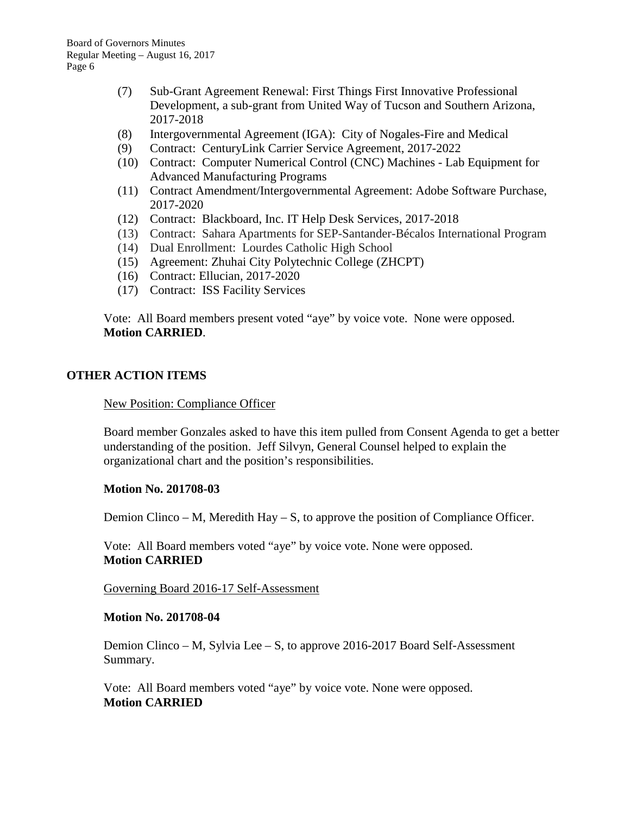- (7) Sub-Grant Agreement Renewal: First Things First Innovative Professional Development, a sub-grant from United Way of Tucson and Southern Arizona, 2017-2018
- (8) Intergovernmental Agreement (IGA): City of Nogales-Fire and Medical
- (9) Contract: CenturyLink Carrier Service Agreement, 2017-2022
- (10) Contract: Computer Numerical Control (CNC) Machines Lab Equipment for Advanced Manufacturing Programs
- (11) Contract Amendment/Intergovernmental Agreement: Adobe Software Purchase, 2017-2020
- (12) Contract: Blackboard, Inc. IT Help Desk Services, 2017-2018
- (13) Contract: Sahara Apartments for SEP-Santander-Bécalos International Program
- (14) Dual Enrollment: Lourdes Catholic High School
- (15) Agreement: Zhuhai City Polytechnic College (ZHCPT)
- (16) Contract: Ellucian, 2017-2020
- (17) Contract: ISS Facility Services

Vote: All Board members present voted "aye" by voice vote. None were opposed. **Motion CARRIED**.

#### **OTHER ACTION ITEMS**

New Position: Compliance Officer

Board member Gonzales asked to have this item pulled from Consent Agenda to get a better understanding of the position. Jeff Silvyn, General Counsel helped to explain the organizational chart and the position's responsibilities.

#### **Motion No. 201708-03**

Demion Clinco – M, Meredith Hay – S, to approve the position of Compliance Officer.

Vote: All Board members voted "aye" by voice vote. None were opposed. **Motion CARRIED**

Governing Board 2016-17 Self-Assessment

#### **Motion No. 201708-04**

Demion Clinco – M, Sylvia Lee – S, to approve 2016-2017 Board Self-Assessment Summary.

Vote: All Board members voted "aye" by voice vote. None were opposed. **Motion CARRIED**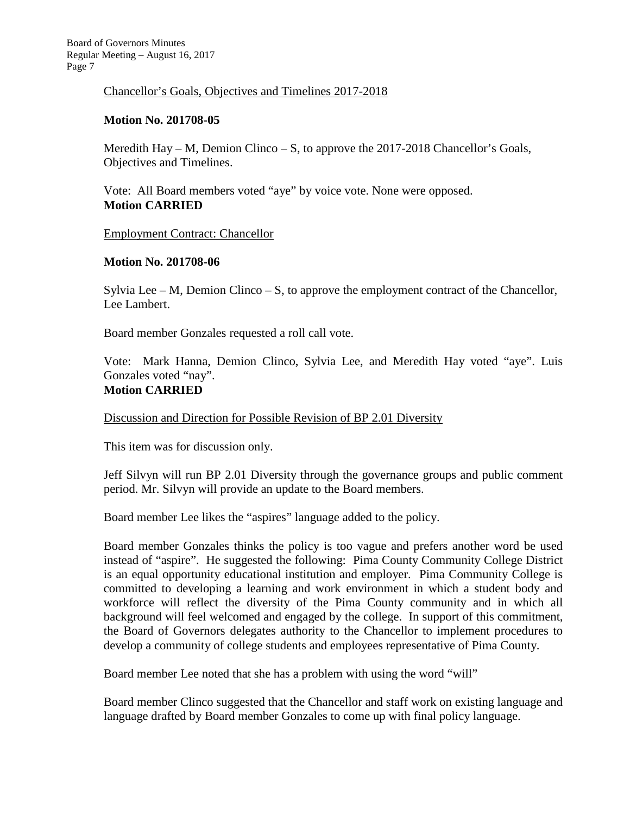### Chancellor's Goals, Objectives and Timelines 2017-2018

## **Motion No. 201708-05**

Meredith Hay – M, Demion Clinco – S, to approve the 2017-2018 Chancellor's Goals, Objectives and Timelines.

Vote: All Board members voted "aye" by voice vote. None were opposed. **Motion CARRIED**

### Employment Contract: Chancellor

## **Motion No. 201708-06**

Sylvia Lee – M, Demion Clinco – S, to approve the employment contract of the Chancellor, Lee Lambert.

Board member Gonzales requested a roll call vote.

Vote: Mark Hanna, Demion Clinco, Sylvia Lee, and Meredith Hay voted "aye". Luis Gonzales voted "nay".

## **Motion CARRIED**

### Discussion and Direction for Possible Revision of BP 2.01 Diversity

This item was for discussion only.

Jeff Silvyn will run BP 2.01 Diversity through the governance groups and public comment period. Mr. Silvyn will provide an update to the Board members.

Board member Lee likes the "aspires" language added to the policy.

Board member Gonzales thinks the policy is too vague and prefers another word be used instead of "aspire". He suggested the following: Pima County Community College District is an equal opportunity educational institution and employer. Pima Community College is committed to developing a learning and work environment in which a student body and workforce will reflect the diversity of the Pima County community and in which all background will feel welcomed and engaged by the college. In support of this commitment, the Board of Governors delegates authority to the Chancellor to implement procedures to develop a community of college students and employees representative of Pima County.

Board member Lee noted that she has a problem with using the word "will"

Board member Clinco suggested that the Chancellor and staff work on existing language and language drafted by Board member Gonzales to come up with final policy language.